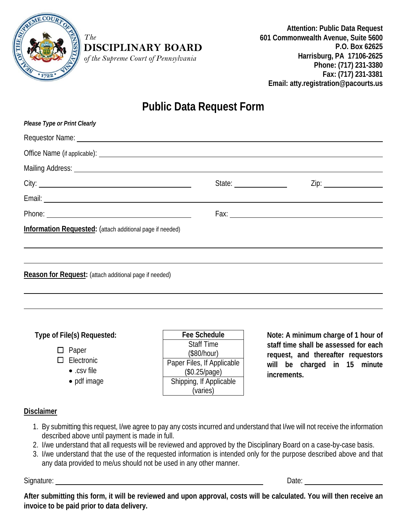

#### *The*  **DISCIPLINARY BOARD**

*of the Supreme Court of Pennsylvania*

**Attention: Public Data Request 601 Commonwealth Avenue, Suite 5600 P.O. Box 62625 Harrisburg, PA 17106-2625 Phone: (717) 231-3380 Fax: (717) 231-3381 Email: atty.registration@pacourts.us**

# **Public Data Request Form**

| Please Type or Print Clearly                                                                                                                                                                                                   |                                                           |  |
|--------------------------------------------------------------------------------------------------------------------------------------------------------------------------------------------------------------------------------|-----------------------------------------------------------|--|
|                                                                                                                                                                                                                                |                                                           |  |
|                                                                                                                                                                                                                                |                                                           |  |
| Mailing Address: Law Mailing Address: Law Mailing Address: Law Mailing Address: Law Mailing Address: Law Mailing Address: Law Mailing Address: Law Mailing Address: Law Mailing Address: Law Mailing Address: Law Mailing Addr |                                                           |  |
|                                                                                                                                                                                                                                | State: $\frac{1}{\sqrt{1-\frac{1}{2}} \cdot \frac{1}{2}}$ |  |
|                                                                                                                                                                                                                                |                                                           |  |
|                                                                                                                                                                                                                                |                                                           |  |
| <b>Information Requested:</b> (attach additional page if needed)                                                                                                                                                               |                                                           |  |
|                                                                                                                                                                                                                                |                                                           |  |
|                                                                                                                                                                                                                                |                                                           |  |
| <b>Reason for Request:</b> (attach additional page if needed)                                                                                                                                                                  |                                                           |  |
|                                                                                                                                                                                                                                |                                                           |  |

### **Type of File(s) Requested:**

- $\square$  Paper
- □ Electronic
	- .csv file
	- pdf image

**Fee Schedule** Staff Time (\$80/hour) Paper Files, If Applicable (\$0.25/page) Shipping, If Applicable (varies)

**Note: A minimum charge of 1 hour of staff time shall be assessed for each request, and thereafter requestors will be charged in 15 minute increments.**

## **Disclaimer**

- 1. By submitting this request, I/we agree to pay any costs incurred and understand that I/we will not receive the information described above until payment is made in full.
- 2. I/we understand that all requests will be reviewed and approved by the Disciplinary Board on a case-by-case basis.
- 3. I/we understand that the use of the requested information is intended only for the purpose described above and that any data provided to me/us should not be used in any other manner.

Signature: <u>Constantine Constantine Constantine Constantine Constantine Constantine Constantine Constantine Constantine Constantine Constantine Constantine Constantine Constantine Constantine Constantine Constantine Consta</u>

**After submitting this form, it will be reviewed and upon approval, costs will be calculated. You will then receive an invoice to be paid prior to data delivery.**